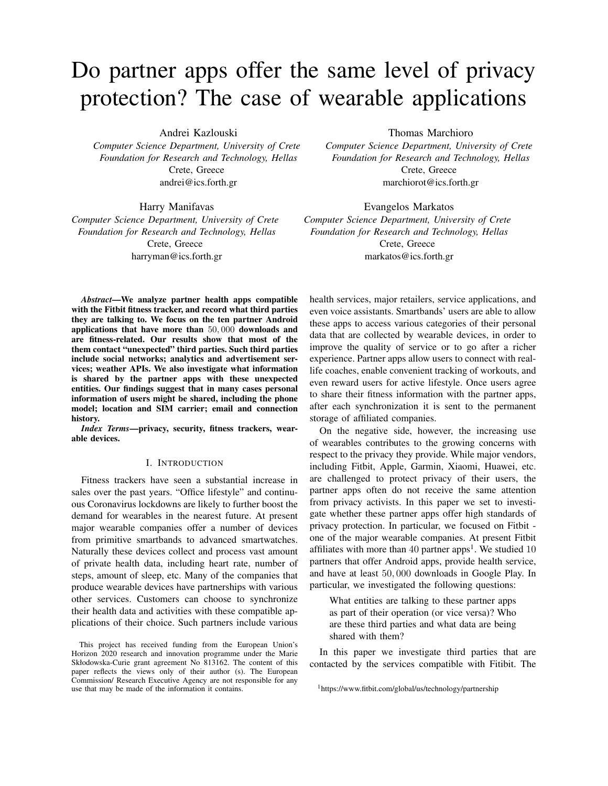# Do partner apps offer the same level of privacy protection? The case of wearable applications

Andrei Kazlouski

*Computer Science Department, University of Crete Foundation for Research and Technology, Hellas* Crete, Greece andrei@ics.forth.gr

Harry Manifavas

*Computer Science Department, University of Crete Foundation for Research and Technology, Hellas* Crete, Greece harryman@ics.forth.gr

Thomas Marchioro

*Computer Science Department, University of Crete Foundation for Research and Technology, Hellas* Crete, Greece marchiorot@ics.forth.gr

Evangelos Markatos *Computer Science Department, University of Crete Foundation for Research and Technology, Hellas* Crete, Greece markatos@ics.forth.gr

*Abstract*—We analyze partner health apps compatible with the Fitbit fitness tracker, and record what third parties they are talking to. We focus on the ten partner Android applications that have more than 50, 000 downloads and are fitness-related. Our results show that most of the them contact "unexpected" third parties. Such third parties include social networks; analytics and advertisement services; weather APIs. We also investigate what information is shared by the partner apps with these unexpected entities. Our findings suggest that in many cases personal information of users might be shared, including the phone model; location and SIM carrier; email and connection history.

*Index Terms*—privacy, security, fitness trackers, wearable devices.

# I. INTRODUCTION

Fitness trackers have seen a substantial increase in sales over the past years. "Office lifestyle" and continuous Coronavirus lockdowns are likely to further boost the demand for wearables in the nearest future. At present major wearable companies offer a number of devices from primitive smartbands to advanced smartwatches. Naturally these devices collect and process vast amount of private health data, including heart rate, number of steps, amount of sleep, etc. Many of the companies that produce wearable devices have partnerships with various other services. Customers can choose to synchronize their health data and activities with these compatible applications of their choice. Such partners include various health services, major retailers, service applications, and even voice assistants. Smartbands' users are able to allow these apps to access various categories of their personal data that are collected by wearable devices, in order to improve the quality of service or to go after a richer experience. Partner apps allow users to connect with reallife coaches, enable convenient tracking of workouts, and even reward users for active lifestyle. Once users agree to share their fitness information with the partner apps, after each synchronization it is sent to the permanent storage of affiliated companies.

On the negative side, however, the increasing use of wearables contributes to the growing concerns with respect to the privacy they provide. While major vendors, including Fitbit, Apple, Garmin, Xiaomi, Huawei, etc. are challenged to protect privacy of their users, the partner apps often do not receive the same attention from privacy activists. In this paper we set to investigate whether these partner apps offer high standards of privacy protection. In particular, we focused on Fitbit one of the major wearable companies. At present Fitbit affiliates with more than 40 partner apps<sup>1</sup>. We studied  $10$ partners that offer Android apps, provide health service, and have at least 50, 000 downloads in Google Play. In particular, we investigated the following questions:

What entities are talking to these partner apps as part of their operation (or vice versa)? Who are these third parties and what data are being shared with them?

In this paper we investigate third parties that are contacted by the services compatible with Fitibit. The

This project has received funding from the European Union's Horizon 2020 research and innovation programme under the Marie Skłodowska-Curie grant agreement No 813162. The content of this paper reflects the views only of their author (s). The European Commission/ Research Executive Agency are not responsible for any use that may be made of the information it contains.

<sup>1</sup>https://www.fitbit.com/global/us/technology/partnership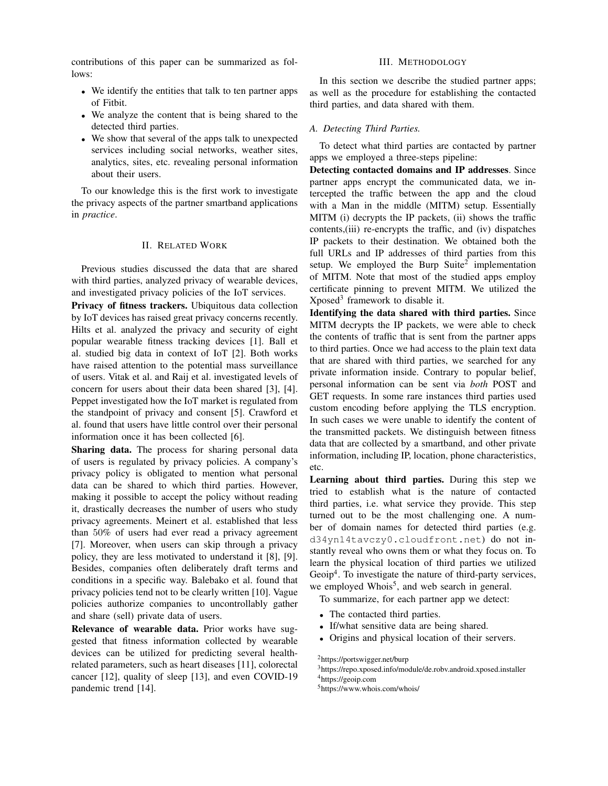contributions of this paper can be summarized as follows:

- We identify the entities that talk to ten partner apps of Fitbit.
- We analyze the content that is being shared to the detected third parties.
- We show that several of the apps talk to unexpected services including social networks, weather sites, analytics, sites, etc. revealing personal information about their users.

To our knowledge this is the first work to investigate the privacy aspects of the partner smartband applications in *practice*.

# II. RELATED WORK

Previous studies discussed the data that are shared with third parties, analyzed privacy of wearable devices, and investigated privacy policies of the IoT services.

Privacy of fitness trackers. Ubiquitous data collection by IoT devices has raised great privacy concerns recently. Hilts et al. analyzed the privacy and security of eight popular wearable fitness tracking devices [1]. Ball et al. studied big data in context of IoT [2]. Both works have raised attention to the potential mass surveillance of users. Vitak et al. and Raij et al. investigated levels of concern for users about their data been shared [3], [4]. Peppet investigated how the IoT market is regulated from the standpoint of privacy and consent [5]. Crawford et al. found that users have little control over their personal information once it has been collected [6].

Sharing data. The process for sharing personal data of users is regulated by privacy policies. A company's privacy policy is obligated to mention what personal data can be shared to which third parties. However, making it possible to accept the policy without reading it, drastically decreases the number of users who study privacy agreements. Meinert et al. established that less than 50% of users had ever read a privacy agreement [7]. Moreover, when users can skip through a privacy policy, they are less motivated to understand it [8], [9]. Besides, companies often deliberately draft terms and conditions in a specific way. Balebako et al. found that privacy policies tend not to be clearly written [10]. Vague policies authorize companies to uncontrollably gather and share (sell) private data of users.

Relevance of wearable data. Prior works have suggested that fitness information collected by wearable devices can be utilized for predicting several healthrelated parameters, such as heart diseases [11], colorectal cancer [12], quality of sleep [13], and even COVID-19 pandemic trend [14].

### III. METHODOLOGY

In this section we describe the studied partner apps; as well as the procedure for establishing the contacted third parties, and data shared with them.

## *A. Detecting Third Parties.*

To detect what third parties are contacted by partner apps we employed a three-steps pipeline:

Detecting contacted domains and IP addresses. Since partner apps encrypt the communicated data, we intercepted the traffic between the app and the cloud with a Man in the middle (MITM) setup. Essentially MITM (i) decrypts the IP packets, (ii) shows the traffic contents,(iii) re-encrypts the traffic, and (iv) dispatches IP packets to their destination. We obtained both the full URLs and IP addresses of third parties from this setup. We employed the Burp Suite<sup>2</sup> implementation of MITM. Note that most of the studied apps employ certificate pinning to prevent MITM. We utilized the Xposed<sup>3</sup> framework to disable it.

Identifying the data shared with third parties. Since MITM decrypts the IP packets, we were able to check the contents of traffic that is sent from the partner apps to third parties. Once we had access to the plain text data that are shared with third parties, we searched for any private information inside. Contrary to popular belief, personal information can be sent via *both* POST and GET requests. In some rare instances third parties used custom encoding before applying the TLS encryption. In such cases we were unable to identify the content of the transmitted packets. We distinguish between fitness data that are collected by a smartband, and other private information, including IP, location, phone characteristics, etc.

Learning about third parties. During this step we tried to establish what is the nature of contacted third parties, i.e. what service they provide. This step turned out to be the most challenging one. A number of domain names for detected third parties (e.g. d34yn14tavczy0.cloudfront.net) do not instantly reveal who owns them or what they focus on. To learn the physical location of third parties we utilized Geoip<sup>4</sup>. To investigate the nature of third-party services, we employed Whois<sup>5</sup>, and web search in general.

To summarize, for each partner app we detect:

- The contacted third parties.
- If/what sensitive data are being shared.
- Origins and physical location of their servers.

<sup>2</sup>https://portswigger.net/burp

<sup>3</sup>https://repo.xposed.info/module/de.robv.android.xposed.installer <sup>4</sup>https://geoip.com

<sup>5</sup>https://www.whois.com/whois/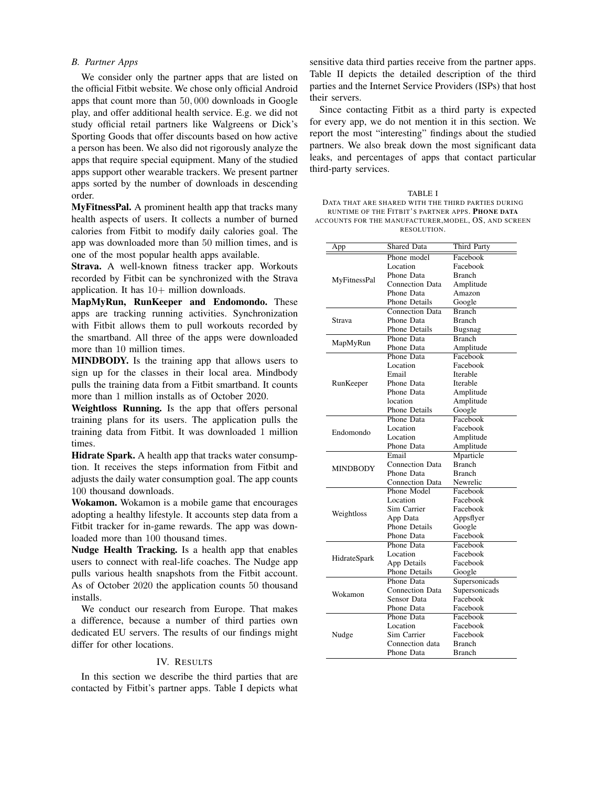## *B. Partner Apps*

We consider only the partner apps that are listed on the official Fitbit website. We chose only official Android apps that count more than 50, 000 downloads in Google play, and offer additional health service. E.g. we did not study official retail partners like Walgreens or Dick's Sporting Goods that offer discounts based on how active a person has been. We also did not rigorously analyze the apps that require special equipment. Many of the studied apps support other wearable trackers. We present partner apps sorted by the number of downloads in descending order.

MyFitnessPal. A prominent health app that tracks many health aspects of users. It collects a number of burned calories from Fitbit to modify daily calories goal. The app was downloaded more than 50 million times, and is one of the most popular health apps available.

Strava. A well-known fitness tracker app. Workouts recorded by Fitbit can be synchronized with the Strava application. It has  $10+$  million downloads.

MapMyRun, RunKeeper and Endomondo. These apps are tracking running activities. Synchronization with Fitbit allows them to pull workouts recorded by the smartband. All three of the apps were downloaded more than 10 million times.

MINDBODY. Is the training app that allows users to sign up for the classes in their local area. Mindbody pulls the training data from a Fitbit smartband. It counts more than 1 million installs as of October 2020.

Weightloss Running. Is the app that offers personal training plans for its users. The application pulls the training data from Fitbit. It was downloaded 1 million times.

Hidrate Spark. A health app that tracks water consumption. It receives the steps information from Fitbit and adjusts the daily water consumption goal. The app counts 100 thousand downloads.

Wokamon. Wokamon is a mobile game that encourages adopting a healthy lifestyle. It accounts step data from a Fitbit tracker for in-game rewards. The app was downloaded more than 100 thousand times.

Nudge Health Tracking. Is a health app that enables users to connect with real-life coaches. The Nudge app pulls various health snapshots from the Fitbit account. As of October 2020 the application counts 50 thousand installs.

We conduct our research from Europe. That makes a difference, because a number of third parties own dedicated EU servers. The results of our findings might differ for other locations.

#### IV. RESULTS

In this section we describe the third parties that are contacted by Fitbit's partner apps. Table I depicts what

sensitive data third parties receive from the partner apps. Table II depicts the detailed description of the third parties and the Internet Service Providers (ISPs) that host their servers.

Since contacting Fitbit as a third party is expected for every app, we do not mention it in this section. We report the most "interesting" findings about the studied partners. We also break down the most significant data leaks, and percentages of apps that contact particular third-party services.

| TABLE I                                              |
|------------------------------------------------------|
| DATA THAT ARE SHARED WITH THE THIRD PARTIES DURING   |
| RUNTIME OF THE FITBIT'S PARTNER APPS. PHONE DATA     |
| ACCOUNTS FOR THE MANUFACTURER, MODEL, OS, AND SCREEN |
| RESOLUTION.                                          |

| <b>Shared Data</b><br><b>Third Party</b><br>App<br>Phone model<br>Facebook<br>Facebook<br>Location<br>Phone Data<br><b>Branch</b><br>MyFitnessPal<br><b>Connection Data</b><br>Amplitude<br>Phone Data<br>Amazon<br><b>Phone Details</b><br>Google<br><b>Connection Data</b><br><b>Branch</b><br>Phone Data<br><b>Branch</b><br>Strava<br><b>Phone Details</b><br>Bugsnag<br>Phone Data<br><b>Branch</b><br>MapMyRun<br>Phone Data<br>Amplitude<br>Phone Data<br>Facebook<br>Location<br>Facebook<br>Email<br>Iterable<br>Phone Data<br>RunKeeper<br>Iterable<br>Phone Data<br>Amplitude<br>location<br>Amplitude<br><b>Phone Details</b><br>Google<br>Phone Data<br>Facebook<br>Location<br>Facebook<br>Endomondo<br>Location<br>Amplitude<br>Phone Data<br>Amplitude<br>Email<br>Mparticle<br><b>Connection Data</b><br><b>Branch</b> |
|-----------------------------------------------------------------------------------------------------------------------------------------------------------------------------------------------------------------------------------------------------------------------------------------------------------------------------------------------------------------------------------------------------------------------------------------------------------------------------------------------------------------------------------------------------------------------------------------------------------------------------------------------------------------------------------------------------------------------------------------------------------------------------------------------------------------------------------------|
|                                                                                                                                                                                                                                                                                                                                                                                                                                                                                                                                                                                                                                                                                                                                                                                                                                         |
|                                                                                                                                                                                                                                                                                                                                                                                                                                                                                                                                                                                                                                                                                                                                                                                                                                         |
|                                                                                                                                                                                                                                                                                                                                                                                                                                                                                                                                                                                                                                                                                                                                                                                                                                         |
|                                                                                                                                                                                                                                                                                                                                                                                                                                                                                                                                                                                                                                                                                                                                                                                                                                         |
|                                                                                                                                                                                                                                                                                                                                                                                                                                                                                                                                                                                                                                                                                                                                                                                                                                         |
|                                                                                                                                                                                                                                                                                                                                                                                                                                                                                                                                                                                                                                                                                                                                                                                                                                         |
|                                                                                                                                                                                                                                                                                                                                                                                                                                                                                                                                                                                                                                                                                                                                                                                                                                         |
|                                                                                                                                                                                                                                                                                                                                                                                                                                                                                                                                                                                                                                                                                                                                                                                                                                         |
|                                                                                                                                                                                                                                                                                                                                                                                                                                                                                                                                                                                                                                                                                                                                                                                                                                         |
|                                                                                                                                                                                                                                                                                                                                                                                                                                                                                                                                                                                                                                                                                                                                                                                                                                         |
|                                                                                                                                                                                                                                                                                                                                                                                                                                                                                                                                                                                                                                                                                                                                                                                                                                         |
|                                                                                                                                                                                                                                                                                                                                                                                                                                                                                                                                                                                                                                                                                                                                                                                                                                         |
|                                                                                                                                                                                                                                                                                                                                                                                                                                                                                                                                                                                                                                                                                                                                                                                                                                         |
|                                                                                                                                                                                                                                                                                                                                                                                                                                                                                                                                                                                                                                                                                                                                                                                                                                         |
|                                                                                                                                                                                                                                                                                                                                                                                                                                                                                                                                                                                                                                                                                                                                                                                                                                         |
|                                                                                                                                                                                                                                                                                                                                                                                                                                                                                                                                                                                                                                                                                                                                                                                                                                         |
|                                                                                                                                                                                                                                                                                                                                                                                                                                                                                                                                                                                                                                                                                                                                                                                                                                         |
|                                                                                                                                                                                                                                                                                                                                                                                                                                                                                                                                                                                                                                                                                                                                                                                                                                         |
|                                                                                                                                                                                                                                                                                                                                                                                                                                                                                                                                                                                                                                                                                                                                                                                                                                         |
|                                                                                                                                                                                                                                                                                                                                                                                                                                                                                                                                                                                                                                                                                                                                                                                                                                         |
|                                                                                                                                                                                                                                                                                                                                                                                                                                                                                                                                                                                                                                                                                                                                                                                                                                         |
|                                                                                                                                                                                                                                                                                                                                                                                                                                                                                                                                                                                                                                                                                                                                                                                                                                         |
|                                                                                                                                                                                                                                                                                                                                                                                                                                                                                                                                                                                                                                                                                                                                                                                                                                         |
|                                                                                                                                                                                                                                                                                                                                                                                                                                                                                                                                                                                                                                                                                                                                                                                                                                         |
|                                                                                                                                                                                                                                                                                                                                                                                                                                                                                                                                                                                                                                                                                                                                                                                                                                         |
| <b>MINDBODY</b><br>Phone Data<br><b>Branch</b>                                                                                                                                                                                                                                                                                                                                                                                                                                                                                                                                                                                                                                                                                                                                                                                          |
| <b>Connection Data</b><br>Newrelic                                                                                                                                                                                                                                                                                                                                                                                                                                                                                                                                                                                                                                                                                                                                                                                                      |
| Phone Model<br>Facebook                                                                                                                                                                                                                                                                                                                                                                                                                                                                                                                                                                                                                                                                                                                                                                                                                 |
| Location<br>Facebook                                                                                                                                                                                                                                                                                                                                                                                                                                                                                                                                                                                                                                                                                                                                                                                                                    |
| Sim Carrier<br>Facebook                                                                                                                                                                                                                                                                                                                                                                                                                                                                                                                                                                                                                                                                                                                                                                                                                 |
| Weightloss                                                                                                                                                                                                                                                                                                                                                                                                                                                                                                                                                                                                                                                                                                                                                                                                                              |
| App Data<br>Appsflyer                                                                                                                                                                                                                                                                                                                                                                                                                                                                                                                                                                                                                                                                                                                                                                                                                   |
| <b>Phone Details</b><br>Google                                                                                                                                                                                                                                                                                                                                                                                                                                                                                                                                                                                                                                                                                                                                                                                                          |
| Phone Data<br>Facebook                                                                                                                                                                                                                                                                                                                                                                                                                                                                                                                                                                                                                                                                                                                                                                                                                  |
| Phone Data<br>Facebook                                                                                                                                                                                                                                                                                                                                                                                                                                                                                                                                                                                                                                                                                                                                                                                                                  |
| Location<br>Facebook<br>HidrateSpark                                                                                                                                                                                                                                                                                                                                                                                                                                                                                                                                                                                                                                                                                                                                                                                                    |
| App Details<br>Facebook                                                                                                                                                                                                                                                                                                                                                                                                                                                                                                                                                                                                                                                                                                                                                                                                                 |
| <b>Phone Details</b><br>Google                                                                                                                                                                                                                                                                                                                                                                                                                                                                                                                                                                                                                                                                                                                                                                                                          |
| Phone Data<br>Supersonicads                                                                                                                                                                                                                                                                                                                                                                                                                                                                                                                                                                                                                                                                                                                                                                                                             |
| <b>Connection Data</b><br>Supersonicads<br>Wokamon                                                                                                                                                                                                                                                                                                                                                                                                                                                                                                                                                                                                                                                                                                                                                                                      |
| Sensor Data<br>Facebook                                                                                                                                                                                                                                                                                                                                                                                                                                                                                                                                                                                                                                                                                                                                                                                                                 |
| Phone Data<br>Facebook                                                                                                                                                                                                                                                                                                                                                                                                                                                                                                                                                                                                                                                                                                                                                                                                                  |
| Phone Data<br>Facebook                                                                                                                                                                                                                                                                                                                                                                                                                                                                                                                                                                                                                                                                                                                                                                                                                  |
| Location<br>Facebook                                                                                                                                                                                                                                                                                                                                                                                                                                                                                                                                                                                                                                                                                                                                                                                                                    |
| Sim Carrier<br>Facebook<br>Nudge                                                                                                                                                                                                                                                                                                                                                                                                                                                                                                                                                                                                                                                                                                                                                                                                        |
| Connection data<br><b>Branch</b>                                                                                                                                                                                                                                                                                                                                                                                                                                                                                                                                                                                                                                                                                                                                                                                                        |
| Phone Data<br>Branch                                                                                                                                                                                                                                                                                                                                                                                                                                                                                                                                                                                                                                                                                                                                                                                                                    |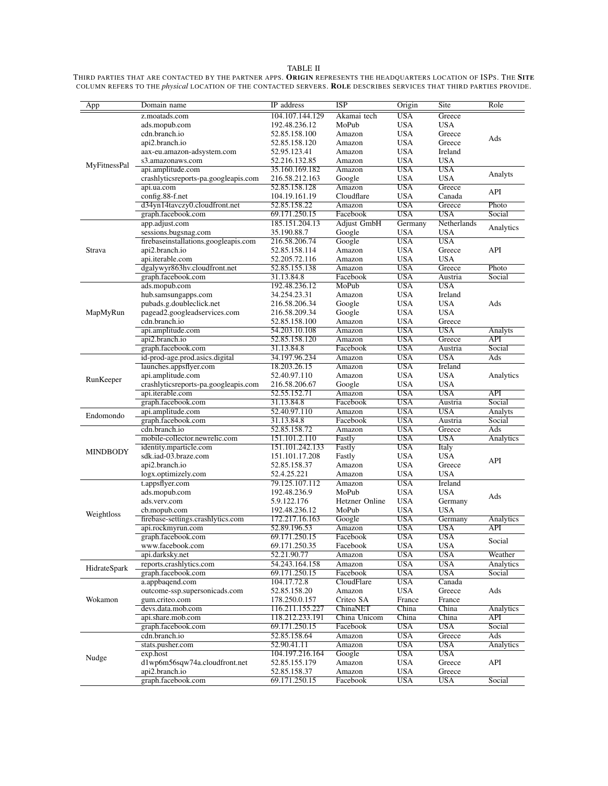#### TABLE II

THIRD PARTIES THAT ARE CONTACTED BY THE PARTNER APPS. **ORIGIN** REPRESENTS THE HEADQUARTERS LOCATION OF ISPS. THE SITE COLUMN REFERS TO THE *physical* LOCATION OF THE CONTACTED SERVERS. ROLE DESCRIBES SERVICES THAT THIRD PARTIES PROVIDE.

| App                 | Domain name                          | IP address      | <b>ISP</b>         | Origin     | Site                    | Role             |
|---------------------|--------------------------------------|-----------------|--------------------|------------|-------------------------|------------------|
|                     | z.moatads.com                        | 104.107.144.129 | Akamai tech        | <b>USA</b> | Greece                  |                  |
|                     | ads.mopub.com                        | 192.48.236.12   | MoPub              | USA        | <b>USA</b>              |                  |
|                     | cdn.branch.io                        | 52.85.158.100   | Amazon             | USA        | Greece                  |                  |
|                     | api2.branch.io                       | 52.85.158.120   | Amazon             | USA        | Greece                  | Ads              |
|                     | aax-eu.amazon-adsystem.com           | 52.95.123.41    | Amazon             | USA        | Ireland                 |                  |
|                     | s3.amazonaws.com                     | 52.216.132.85   | Amazon             | USA        | <b>USA</b>              |                  |
| MyFitnessPal        | api.amplitude.com                    | 35.160.169.182  | Amazon             | USA        | <b>USA</b>              |                  |
|                     | crashlyticsreports-pa.googleapis.com | 216.58.212.163  | Google             | <b>USA</b> | <b>USA</b>              | Analyts          |
|                     | api.ua.com                           | 52.85.158.128   | Amazon             | <b>USA</b> | Greece                  |                  |
|                     | config.88-f.net                      | 104.19.161.19   | Cloudflare         | USA        | Canada                  | API              |
|                     | d34yn14tavczy0.cloudfront.net        | 52.85.158.22    | Amazon             | USA        | Greece                  | Photo            |
|                     | graph.facebook.com                   | 69.171.250.15   | Facebook           | <b>USA</b> | <b>USA</b>              | Social           |
| Strava              | app.adjust.com                       | 185.151.204.13  | <b>Adjust GmbH</b> | Germany    | Netherlands             |                  |
|                     | sessions.bugsnag.com                 | 35.190.88.7     | Google             | USA        | <b>USA</b>              | Analytics        |
|                     | firebaseinstallations.googleapis.com | 216.58.206.74   | Google             | <b>USA</b> | <b>USA</b>              |                  |
|                     | api2.branch.io                       | 52.85.158.114   | Amazon             | USA        | Greece                  | API              |
|                     | api.iterable.com                     | 52.205.72.116   | Amazon             | <b>USA</b> | <b>USA</b>              |                  |
|                     | dgalywyr863hv.cloudfront.net         | 52.85.155.138   | Amazon             | USA        | Greece                  | Photo            |
|                     | graph.facebook.com                   | 31.13.84.8      | Facebook           | USA        | Austria                 | Social           |
| MapMyRun            | ads.mopub.com                        | 192.48.236.12   | MoPub              | <b>USA</b> | <b>USA</b>              |                  |
|                     | hub.samsungapps.com                  | 34.254.23.31    | Amazon             | USA        | Ireland                 |                  |
|                     | pubads.g.doubleclick.net             | 216.58.206.34   | Google             | USA        | <b>USA</b>              | Ads              |
|                     | pagead2.googleadservices.com         | 216.58.209.34   | Google             | USA        | <b>USA</b>              |                  |
|                     | cdn.branch.io                        | 52.85.158.100   | Amazon             | <b>USA</b> | Greece                  |                  |
|                     | api.amplitude.com                    | 54.203.10.108   | Amazon             | USA        | <b>USA</b>              | Analyts          |
|                     | api2.branch.io                       | 52.85.158.120   | Amazon             | <b>USA</b> | Greece                  | $\overline{API}$ |
|                     | graph.facebook.com                   | 31.13.84.8      | Facebook           | <b>USA</b> | Austria                 | Social           |
| RunKeeper           | id-prod-age.prod.asics.digital       | 34.197.96.234   | Amazon             | <b>USA</b> | <b>USA</b>              | Ads              |
|                     | launches.appsflyer.com               | 18.203.26.15    | Amazon             | <b>USA</b> | Ireland                 |                  |
|                     | api.amplitude.com                    | 52.40.97.110    | Amazon             | USA        | <b>USA</b>              | Analytics        |
|                     | crashlyticsreports-pa.googleapis.com | 216.58.206.67   | Google             | <b>USA</b> | <b>USA</b>              |                  |
|                     | api.iterable.com                     | 52.55.152.71    | Amazon             | <b>USA</b> | <b>USA</b>              | API              |
|                     | graph.facebook.com                   | 31.13.84.8      | Facebook           | <b>USA</b> | Austria                 | Social           |
|                     | api.amplitude.com                    | 52.40.97.110    | Amazon             | <b>USA</b> | <b>USA</b>              | Analyts          |
| Endomondo           | graph.facebook.com                   | 31.13.84.8      | Facebook           | USA        | Austria                 | Social           |
| <b>MINDBODY</b>     | cdn.branch.io                        | 52.85.158.72    | Amazon             | <b>USA</b> | Greece                  | Ads              |
|                     | mobile-collector.newrelic.com        | 151.101.2.110   | Fastly             | <b>USA</b> | <b>USA</b>              | Analytics        |
|                     | identity.mparticle.com               | 151.101.242.133 | Fastly             | <b>USA</b> | <b>Italy</b>            |                  |
|                     | sdk.iad-03.braze.com                 | 151.101.17.208  | Fastly             | <b>USA</b> | <b>USA</b>              | API              |
|                     | api2.branch.io                       | 52.85.158.37    | Amazon             | USA        | Greece                  |                  |
|                     | logx.optimizely.com                  | 52.4.25.221     | Amazon             | <b>USA</b> | <b>USA</b>              |                  |
| Weightloss          | t.appsflyer.com                      | 79.125.107.112  | Amazon             | <b>USA</b> | Ireland                 |                  |
|                     | ads.mopub.com                        | 192.48.236.9    | MoPub              | USA        | <b>USA</b>              | Ads              |
|                     | ads.verv.com                         | 5.9.122.176     | Hetzner Online     | USA        | Germany                 |                  |
|                     | cb.mopub.com                         | 192.48.236.12   | MoPub              | <b>USA</b> | <b>USA</b>              |                  |
|                     | firebase-settings.crashlytics.com    | 172.217.16.163  | Google             | <b>USA</b> | Germany                 | Analytics        |
|                     | api.rockmyrun.com                    | 52.89.196.53    | Amazon             | <b>USA</b> | <b>USA</b>              | API              |
|                     | graph.facebook.com                   | 69.171.250.15   | Facebook           | <b>USA</b> | <b>USA</b>              | Social           |
|                     | www.facebook.com                     | 69.171.250.35   | Facebook           | <b>USA</b> | <b>USA</b>              |                  |
|                     | api.darksky.net                      | 52.21.90.77     | Amazon             | <b>USA</b> | <b>USA</b>              | Weather          |
| <b>HidrateSpark</b> | reports.crashlytics.com              | 54.243.164.158  | Amazon             | <b>USA</b> | <b>USA</b>              | Analytics        |
|                     | graph.facebook.com                   | 69.171.250.15   | Facebook           | <b>USA</b> | $\overline{\text{USA}}$ | Social           |
| Wokamon             | a.appbaqend.com                      | 104.17.72.8     | CloudFlare         | <b>USA</b> | Canada                  |                  |
|                     | outcome-ssp.supersonicads.com        | 52.85.158.20    | Amazon             | USA        | Greece                  | Ads              |
|                     | gum.criteo.com                       | 178.250.0.157   | Criteo SA          | France     | France                  |                  |
|                     | devs.data.mob.com                    | 116.211.155.227 | ChinaNET           | China      | China                   | <b>Analytics</b> |
|                     | api.share.mob.com                    | 118.212.233.191 | China Unicom       | China      | China                   | API              |
|                     | graph.facebook.com                   | 69.171.250.15   | Facebook           | <b>USA</b> | <b>USA</b>              | Social           |
| Nudge               | cdn.branch.io                        | 52.85.158.64    | Amazon             | <b>USA</b> | Greece                  | Ads              |
|                     | stats.pusher.com                     | 52.90.41.11     | Amazon             | <b>USA</b> | <b>USA</b>              | Analytics        |
|                     | exp.host                             | 104.197.216.164 | Google             | USA        | <b>USA</b>              | API              |
|                     | d1wp6m56sqw74a.cloudfront.net        | 52.85.155.179   | Amazon             | USA        | Greece                  |                  |
|                     | api2.branch.io                       | 52.85.158.37    | Amazon             | USA        | Greece                  |                  |
|                     | graph.facebook.com                   | 69.171.250.15   | Facebook           | <b>USA</b> | <b>USA</b>              | Social           |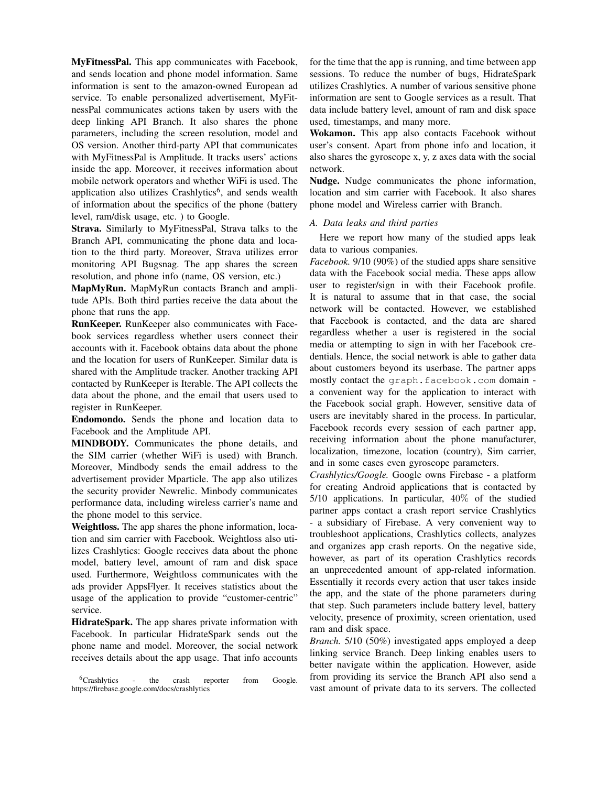MyFitnessPal. This app communicates with Facebook, and sends location and phone model information. Same information is sent to the amazon-owned European ad service. To enable personalized advertisement, MyFitnessPal communicates actions taken by users with the deep linking API Branch. It also shares the phone parameters, including the screen resolution, model and OS version. Another third-party API that communicates with MyFitnessPal is Amplitude. It tracks users' actions inside the app. Moreover, it receives information about mobile network operators and whether WiFi is used. The application also utilizes Crashlytics<sup>6</sup>, and sends wealth of information about the specifics of the phone (battery level, ram/disk usage, etc. ) to Google.

Strava. Similarly to MyFitnessPal, Strava talks to the Branch API, communicating the phone data and location to the third party. Moreover, Strava utilizes error monitoring API Bugsnag. The app shares the screen resolution, and phone info (name, OS version, etc.)

MapMyRun. MapMyRun contacts Branch and amplitude APIs. Both third parties receive the data about the phone that runs the app.

RunKeeper. RunKeeper also communicates with Facebook services regardless whether users connect their accounts with it. Facebook obtains data about the phone and the location for users of RunKeeper. Similar data is shared with the Amplitude tracker. Another tracking API contacted by RunKeeper is Iterable. The API collects the data about the phone, and the email that users used to register in RunKeeper.

Endomondo. Sends the phone and location data to Facebook and the Amplitude API.

MINDBODY. Communicates the phone details, and the SIM carrier (whether WiFi is used) with Branch. Moreover, Mindbody sends the email address to the advertisement provider Mparticle. The app also utilizes the security provider Newrelic. Minbody communicates performance data, including wireless carrier's name and the phone model to this service.

Weightloss. The app shares the phone information, location and sim carrier with Facebook. Weightloss also utilizes Crashlytics: Google receives data about the phone model, battery level, amount of ram and disk space used. Furthermore, Weightloss communicates with the ads provider AppsFlyer. It receives statistics about the usage of the application to provide "customer-centric" service.

HidrateSpark. The app shares private information with Facebook. In particular HidrateSpark sends out the phone name and model. Moreover, the social network receives details about the app usage. That info accounts

<sup>6</sup>Crashlytics - the crash reporter from Google. https://firebase.google.com/docs/crashlytics

for the time that the app is running, and time between app sessions. To reduce the number of bugs, HidrateSpark utilizes Crashlytics. A number of various sensitive phone information are sent to Google services as a result. That data include battery level, amount of ram and disk space used, timestamps, and many more.

Wokamon. This app also contacts Facebook without user's consent. Apart from phone info and location, it also shares the gyroscope x, y, z axes data with the social network.

Nudge. Nudge communicates the phone information, location and sim carrier with Facebook. It also shares phone model and Wireless carrier with Branch.

## *A. Data leaks and third parties*

Here we report how many of the studied apps leak data to various companies.

*Facebook.* 9/10 (90%) of the studied apps share sensitive data with the Facebook social media. These apps allow user to register/sign in with their Facebook profile. It is natural to assume that in that case, the social network will be contacted. However, we established that Facebook is contacted, and the data are shared regardless whether a user is registered in the social media or attempting to sign in with her Facebook credentials. Hence, the social network is able to gather data about customers beyond its userbase. The partner apps mostly contact the graph.facebook.com domain a convenient way for the application to interact with the Facebook social graph. However, sensitive data of users are inevitably shared in the process. In particular, Facebook records every session of each partner app, receiving information about the phone manufacturer, localization, timezone, location (country), Sim carrier, and in some cases even gyroscope parameters.

*Crashlytics/Google.* Google owns Firebase - a platform for creating Android applications that is contacted by 5/10 applications. In particular, 40% of the studied partner apps contact a crash report service Crashlytics - a subsidiary of Firebase. A very convenient way to troubleshoot applications, Crashlytics collects, analyzes and organizes app crash reports. On the negative side, however, as part of its operation Crashlytics records an unprecedented amount of app-related information. Essentially it records every action that user takes inside the app, and the state of the phone parameters during

that step. Such parameters include battery level, battery velocity, presence of proximity, screen orientation, used ram and disk space.

*Branch.* 5/10 (50%) investigated apps employed a deep linking service Branch. Deep linking enables users to better navigate within the application. However, aside from providing its service the Branch API also send a vast amount of private data to its servers. The collected